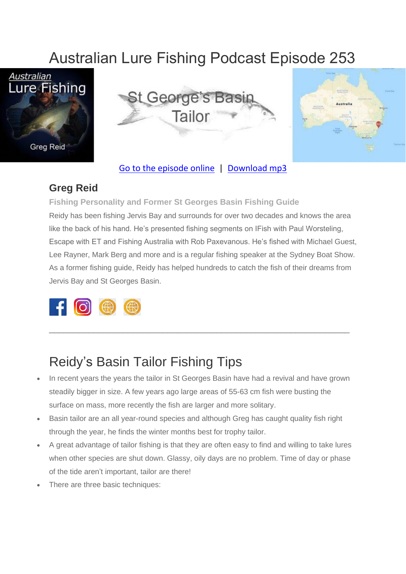# Australian Lure Fishing Podcast Episode 253







#### [Go to the episode online](https://doclures.com/kununurra-barramundi-dick-pasfield/) | [Download mp3](https://traffic.libsyn.com/secure/doclures/kununurra-barramundi-dick-pasfield.mp3)

#### **Greg Reid**

**Fishing Personality and Former St Georges Basin Fishing Guide** Reidy has been fishing Jervis Bay and surrounds for over two decades and knows the area like the back of his hand. He's presented fishing segments on IFish with Paul Worsteling, Escape with ET and Fishing Australia with Rob Paxevanous. He's fished with Michael Guest, Lee Rayner, Mark Berg and more and is a regular fishing speaker at the Sydney Boat Show. As a former fishing guide, Reidy has helped hundreds to catch the fish of their dreams from Jervis Bay and St Georges Basin.



#### Reidy's Basin Tailor Fishing Tips

In recent years the years the tailor in St Georges Basin have had a revival and have grown steadily bigger in size. A few years ago large areas of 55-63 cm fish were busting the surface on mass, more recently the fish are larger and more solitary.

\_\_\_\_\_\_\_\_\_\_\_\_\_\_\_\_\_\_\_\_\_\_\_\_\_\_\_\_\_\_\_\_\_\_\_\_\_\_\_\_\_\_\_\_\_\_\_\_\_\_\_\_\_\_\_\_\_\_\_\_\_

- Basin tailor are an all year-round species and although Greg has caught quality fish right through the year, he finds the winter months best for trophy tailor.
- A great advantage of tailor fishing is that they are often easy to find and willing to take lures when other species are shut down. Glassy, oily days are no problem. Time of day or phase of the tide aren't important, tailor are there!
- There are three basic techniques: